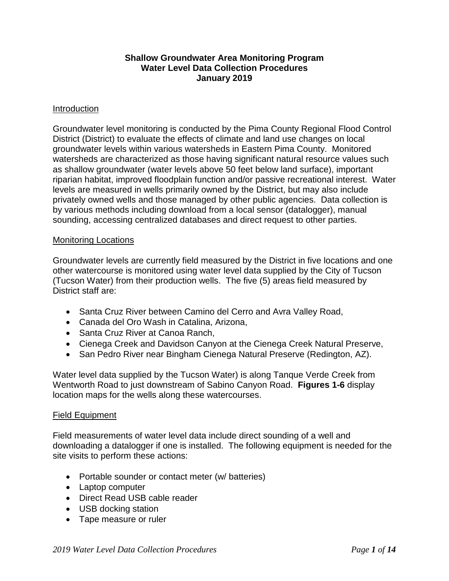#### **Shallow Groundwater Area Monitoring Program Water Level Data Collection Procedures January 2019**

#### **Introduction**

Groundwater level monitoring is conducted by the Pima County Regional Flood Control District (District) to evaluate the effects of climate and land use changes on local groundwater levels within various watersheds in Eastern Pima County. Monitored watersheds are characterized as those having significant natural resource values such as shallow groundwater (water levels above 50 feet below land surface), important riparian habitat, improved floodplain function and/or passive recreational interest. Water levels are measured in wells primarily owned by the District, but may also include privately owned wells and those managed by other public agencies. Data collection is by various methods including download from a local sensor (datalogger), manual sounding, accessing centralized databases and direct request to other parties.

#### Monitoring Locations

Groundwater levels are currently field measured by the District in five locations and one other watercourse is monitored using water level data supplied by the City of Tucson (Tucson Water) from their production wells. The five (5) areas field measured by District staff are:

- Santa Cruz River between Camino del Cerro and Avra Valley Road,
- Canada del Oro Wash in Catalina, Arizona,
- Santa Cruz River at Canoa Ranch,
- Cienega Creek and Davidson Canyon at the Cienega Creek Natural Preserve,
- San Pedro River near Bingham Cienega Natural Preserve (Redington, AZ).

Water level data supplied by the Tucson Water) is along Tanque Verde Creek from Wentworth Road to just downstream of Sabino Canyon Road. **Figures 1-6** display location maps for the wells along these watercourses.

#### Field Equipment

Field measurements of water level data include direct sounding of a well and downloading a datalogger if one is installed. The following equipment is needed for the site visits to perform these actions:

- Portable sounder or contact meter (w/ batteries)
- Laptop computer
- Direct Read USB cable reader
- USB docking station
- Tape measure or ruler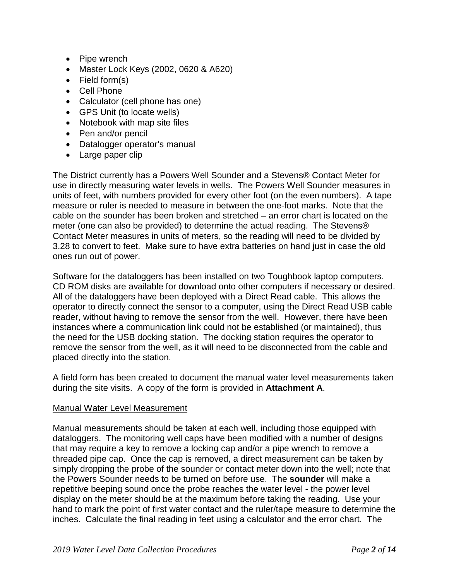- Pipe wrench
- Master Lock Keys (2002, 0620 & A620)
- Field form(s)
- Cell Phone
- Calculator (cell phone has one)
- GPS Unit (to locate wells)
- Notebook with map site files
- Pen and/or pencil
- Datalogger operator's manual
- Large paper clip

The District currently has a Powers Well Sounder and a Stevens® Contact Meter for use in directly measuring water levels in wells. The Powers Well Sounder measures in units of feet, with numbers provided for every other foot (on the even numbers). A tape measure or ruler is needed to measure in between the one-foot marks. Note that the cable on the sounder has been broken and stretched – an error chart is located on the meter (one can also be provided) to determine the actual reading. The Stevens® Contact Meter measures in units of meters, so the reading will need to be divided by 3.28 to convert to feet. Make sure to have extra batteries on hand just in case the old ones run out of power.

Software for the dataloggers has been installed on two Toughbook laptop computers. CD ROM disks are available for download onto other computers if necessary or desired. All of the dataloggers have been deployed with a Direct Read cable. This allows the operator to directly connect the sensor to a computer, using the Direct Read USB cable reader, without having to remove the sensor from the well. However, there have been instances where a communication link could not be established (or maintained), thus the need for the USB docking station. The docking station requires the operator to remove the sensor from the well, as it will need to be disconnected from the cable and placed directly into the station.

A field form has been created to document the manual water level measurements taken during the site visits. A copy of the form is provided in **Attachment A**.

#### Manual Water Level Measurement

Manual measurements should be taken at each well, including those equipped with dataloggers. The monitoring well caps have been modified with a number of designs that may require a key to remove a locking cap and/or a pipe wrench to remove a threaded pipe cap. Once the cap is removed, a direct measurement can be taken by simply dropping the probe of the sounder or contact meter down into the well; note that the Powers Sounder needs to be turned on before use. The **sounder** will make a repetitive beeping sound once the probe reaches the water level - the power level display on the meter should be at the maximum before taking the reading. Use your hand to mark the point of first water contact and the ruler/tape measure to determine the inches. Calculate the final reading in feet using a calculator and the error chart. The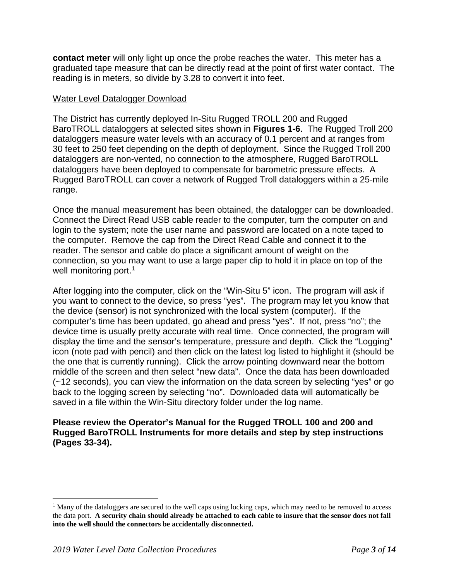**contact meter** will only light up once the probe reaches the water. This meter has a graduated tape measure that can be directly read at the point of first water contact. The reading is in meters, so divide by 3.28 to convert it into feet.

#### Water Level Datalogger Download

The District has currently deployed In-Situ Rugged TROLL 200 and Rugged BaroTROLL dataloggers at selected sites shown in **Figures 1-6**. The Rugged Troll 200 dataloggers measure water levels with an accuracy of 0.1 percent and at ranges from 30 feet to 250 feet depending on the depth of deployment. Since the Rugged Troll 200 dataloggers are non-vented, no connection to the atmosphere, Rugged BaroTROLL dataloggers have been deployed to compensate for barometric pressure effects. A Rugged BaroTROLL can cover a network of Rugged Troll dataloggers within a 25-mile range.

Once the manual measurement has been obtained, the datalogger can be downloaded. Connect the Direct Read USB cable reader to the computer, turn the computer on and login to the system; note the user name and password are located on a note taped to the computer. Remove the cap from the Direct Read Cable and connect it to the reader. The sensor and cable do place a significant amount of weight on the connection, so you may want to use a large paper clip to hold it in place on top of the well monitoring port.<sup>[1](#page-2-0)</sup>

After logging into the computer, click on the "Win-Situ 5" icon. The program will ask if you want to connect to the device, so press "yes". The program may let you know that the device (sensor) is not synchronized with the local system (computer). If the computer's time has been updated, go ahead and press "yes". If not, press "no"; the device time is usually pretty accurate with real time. Once connected, the program will display the time and the sensor's temperature, pressure and depth. Click the "Logging" icon (note pad with pencil) and then click on the latest log listed to highlight it (should be the one that is currently running). Click the arrow pointing downward near the bottom middle of the screen and then select "new data". Once the data has been downloaded (~12 seconds), you can view the information on the data screen by selecting "yes" or go back to the logging screen by selecting "no". Downloaded data will automatically be saved in a file within the Win-Situ directory folder under the log name.

**Please review the Operator's Manual for the Rugged TROLL 100 and 200 and Rugged BaroTROLL Instruments for more details and step by step instructions (Pages 33-34).** 

<span id="page-2-0"></span> $<sup>1</sup>$  Many of the dataloggers are secured to the well caps using locking caps, which may need to be removed to access</sup> the data port. **A security chain should already be attached to each cable to insure that the sensor does not fall into the well should the connectors be accidentally disconnected.**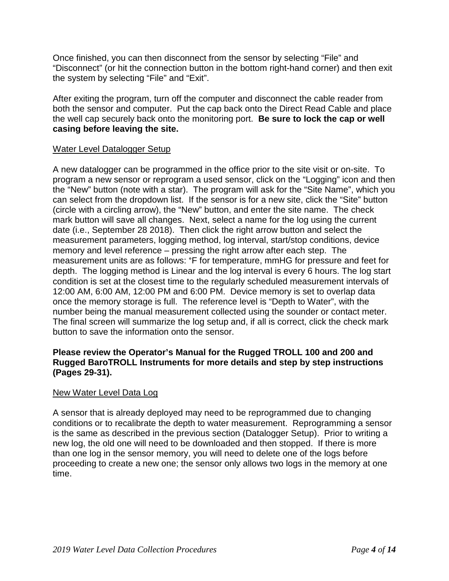Once finished, you can then disconnect from the sensor by selecting "File" and "Disconnect" (or hit the connection button in the bottom right-hand corner) and then exit the system by selecting "File" and "Exit".

After exiting the program, turn off the computer and disconnect the cable reader from both the sensor and computer. Put the cap back onto the Direct Read Cable and place the well cap securely back onto the monitoring port. **Be sure to lock the cap or well casing before leaving the site.** 

#### Water Level Datalogger Setup

A new datalogger can be programmed in the office prior to the site visit or on-site. To program a new sensor or reprogram a used sensor, click on the "Logging" icon and then the "New" button (note with a star). The program will ask for the "Site Name", which you can select from the dropdown list. If the sensor is for a new site, click the "Site" button (circle with a circling arrow), the "New" button, and enter the site name. The check mark button will save all changes. Next, select a name for the log using the current date (i.e., September 28 2018). Then click the right arrow button and select the measurement parameters, logging method, log interval, start/stop conditions, device memory and level reference – pressing the right arrow after each step. The measurement units are as follows: °F for temperature, mmHG for pressure and feet for depth. The logging method is Linear and the log interval is every 6 hours. The log start condition is set at the closest time to the regularly scheduled measurement intervals of 12:00 AM, 6:00 AM, 12:00 PM and 6:00 PM. Device memory is set to overlap data once the memory storage is full. The reference level is "Depth to Water", with the number being the manual measurement collected using the sounder or contact meter. The final screen will summarize the log setup and, if all is correct, click the check mark button to save the information onto the sensor.

#### **Please review the Operator's Manual for the Rugged TROLL 100 and 200 and Rugged BaroTROLL Instruments for more details and step by step instructions (Pages 29-31).**

#### New Water Level Data Log

A sensor that is already deployed may need to be reprogrammed due to changing conditions or to recalibrate the depth to water measurement. Reprogramming a sensor is the same as described in the previous section (Datalogger Setup). Prior to writing a new log, the old one will need to be downloaded and then stopped. If there is more than one log in the sensor memory, you will need to delete one of the logs before proceeding to create a new one; the sensor only allows two logs in the memory at one time.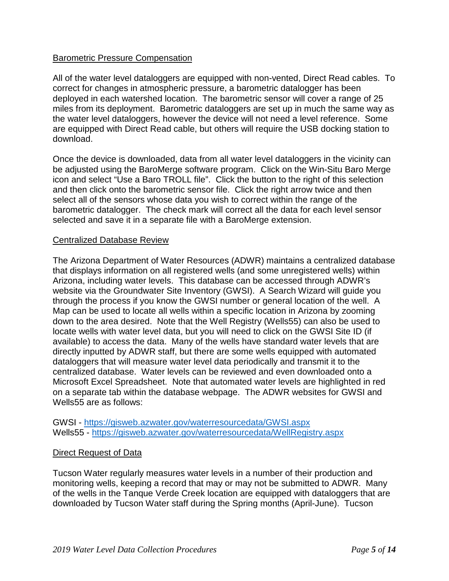### Barometric Pressure Compensation

All of the water level dataloggers are equipped with non-vented, Direct Read cables. To correct for changes in atmospheric pressure, a barometric datalogger has been deployed in each watershed location. The barometric sensor will cover a range of 25 miles from its deployment. Barometric dataloggers are set up in much the same way as the water level dataloggers, however the device will not need a level reference. Some are equipped with Direct Read cable, but others will require the USB docking station to download.

Once the device is downloaded, data from all water level dataloggers in the vicinity can be adjusted using the BaroMerge software program. Click on the Win-Situ Baro Merge icon and select "Use a Baro TROLL file". Click the button to the right of this selection and then click onto the barometric sensor file. Click the right arrow twice and then select all of the sensors whose data you wish to correct within the range of the barometric datalogger. The check mark will correct all the data for each level sensor selected and save it in a separate file with a BaroMerge extension.

#### Centralized Database Review

The Arizona Department of Water Resources (ADWR) maintains a centralized database that displays information on all registered wells (and some unregistered wells) within Arizona, including water levels. This database can be accessed through ADWR's website via the Groundwater Site Inventory (GWSI). A Search Wizard will guide you through the process if you know the GWSI number or general location of the well. A Map can be used to locate all wells within a specific location in Arizona by zooming down to the area desired. Note that the Well Registry (Wells55) can also be used to locate wells with water level data, but you will need to click on the GWSI Site ID (if available) to access the data. Many of the wells have standard water levels that are directly inputted by ADWR staff, but there are some wells equipped with automated dataloggers that will measure water level data periodically and transmit it to the centralized database. Water levels can be reviewed and even downloaded onto a Microsoft Excel Spreadsheet. Note that automated water levels are highlighted in red on a separate tab within the database webpage. The ADWR websites for GWSI and Wells55 are as follows:

GWSI - <https://gisweb.azwater.gov/waterresourcedata/GWSI.aspx> Wells55 - <https://gisweb.azwater.gov/waterresourcedata/WellRegistry.aspx>

#### Direct Request of Data

Tucson Water regularly measures water levels in a number of their production and monitoring wells, keeping a record that may or may not be submitted to ADWR. Many of the wells in the Tanque Verde Creek location are equipped with dataloggers that are downloaded by Tucson Water staff during the Spring months (April-June). Tucson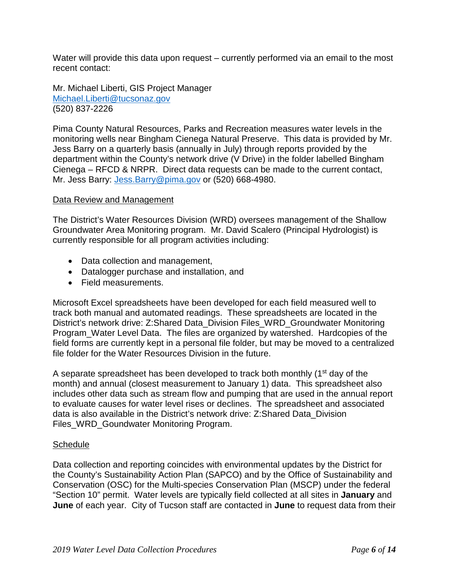Water will provide this data upon request – currently performed via an email to the most recent contact:

Mr. Michael Liberti, GIS Project Manager [Michael.Liberti@tucsonaz.gov](mailto:Michael.Liberti@tucsonaz.gov) (520) 837-2226

Pima County Natural Resources, Parks and Recreation measures water levels in the monitoring wells near Bingham Cienega Natural Preserve. This data is provided by Mr. Jess Barry on a quarterly basis (annually in July) through reports provided by the department within the County's network drive (V Drive) in the folder labelled Bingham Cienega – RFCD & NRPR. Direct data requests can be made to the current contact, Mr. Jess Barry: [Jess.Barry@pima.gov](mailto:Jess.Barry@pima.gov) or (520) 668-4980.

#### Data Review and Management

The District's Water Resources Division (WRD) oversees management of the Shallow Groundwater Area Monitoring program. Mr. David Scalero (Principal Hydrologist) is currently responsible for all program activities including:

- Data collection and management,
- Datalogger purchase and installation, and
- Field measurements.

Microsoft Excel spreadsheets have been developed for each field measured well to track both manual and automated readings. These spreadsheets are located in the District's network drive: Z:Shared Data\_Division Files\_WRD\_Groundwater Monitoring Program Water Level Data. The files are organized by watershed. Hardcopies of the field forms are currently kept in a personal file folder, but may be moved to a centralized file folder for the Water Resources Division in the future.

A separate spreadsheet has been developed to track both monthly (1<sup>st</sup> day of the month) and annual (closest measurement to January 1) data. This spreadsheet also includes other data such as stream flow and pumping that are used in the annual report to evaluate causes for water level rises or declines. The spreadsheet and associated data is also available in the District's network drive: Z:Shared Data\_Division Files\_WRD\_Goundwater Monitoring Program.

#### **Schedule**

Data collection and reporting coincides with environmental updates by the District for the County's Sustainability Action Plan (SAPCO) and by the Office of Sustainability and Conservation (OSC) for the Multi-species Conservation Plan (MSCP) under the federal "Section 10" permit. Water levels are typically field collected at all sites in **January** and **June** of each year. City of Tucson staff are contacted in **June** to request data from their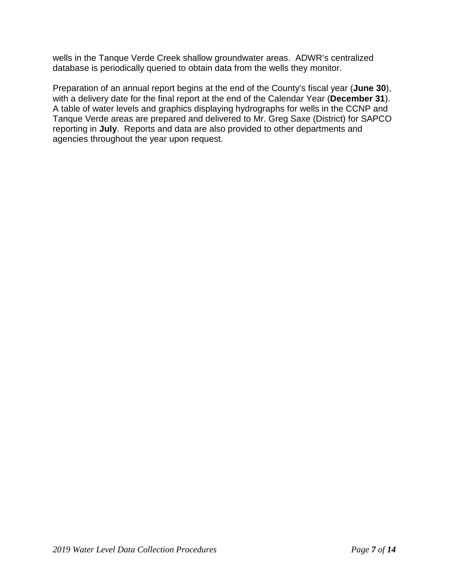wells in the Tanque Verde Creek shallow groundwater areas. ADWR's centralized database is periodically queried to obtain data from the wells they monitor.

Preparation of an annual report begins at the end of the County's fiscal year (**June 30**), with a delivery date for the final report at the end of the Calendar Year (**December 31**). A table of water levels and graphics displaying hydrographs for wells in the CCNP and Tanque Verde areas are prepared and delivered to Mr. Greg Saxe (District) for SAPCO reporting in **July**. Reports and data are also provided to other departments and agencies throughout the year upon request.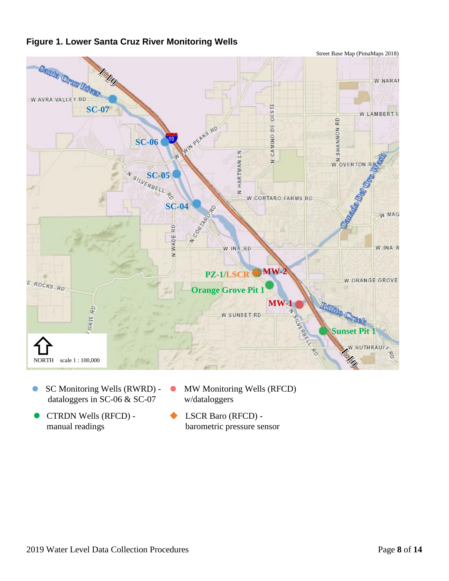

## **Figure 1. Lower Santa Cruz River Monitoring Wells**

- SC Monitoring Wells (RWRD)  $\bullet$ dataloggers in SC-06 & SC-07
	- w/dataloggers

 $\bullet$ 

- CTRDN Wells (RFCD)  $\bullet$ manual readings
- LSCR Baro (RFCD) barometric pressure sensor

MW Monitoring Wells (RFCD)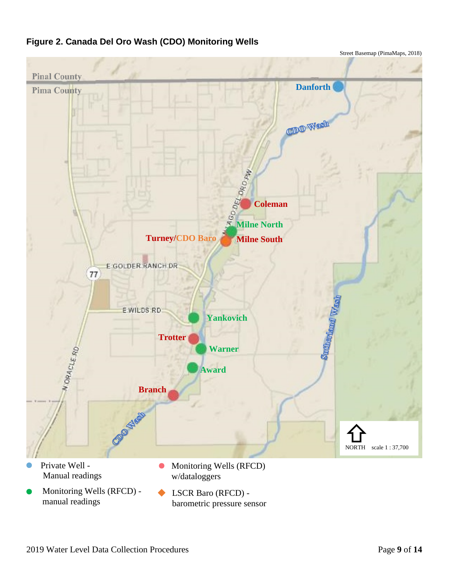

barometric pressure sensor

# **Figure 2. Canada Del Oro Wash (CDO) Monitoring Wells**

Street Basemap (PimaMaps, 2018)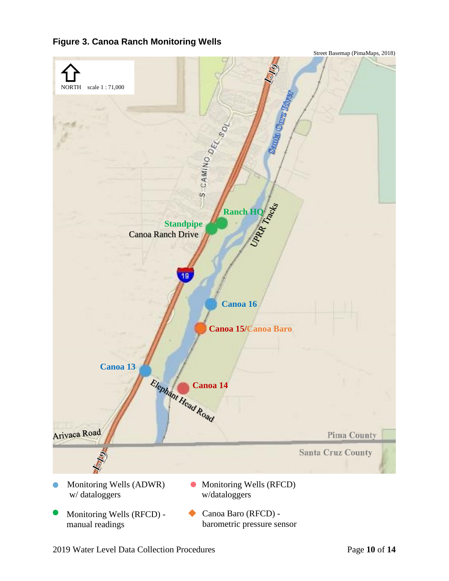### **Figure 3. Canoa Ranch Monitoring Wells**

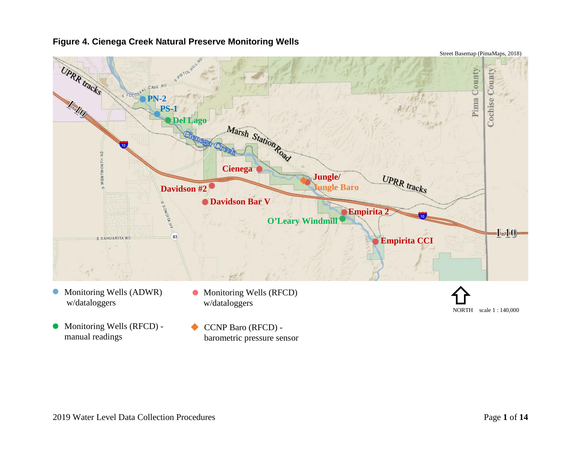#### **Figure 4. Cienega Creek Natural Preserve Monitoring Wells**



w/dataloggers

- Monitoring Wells (RFCD) manual readings
- Monitoring Wells (RFCD) w/dataloggers

CCNP Baro (RFCD) barometric pressure sensor

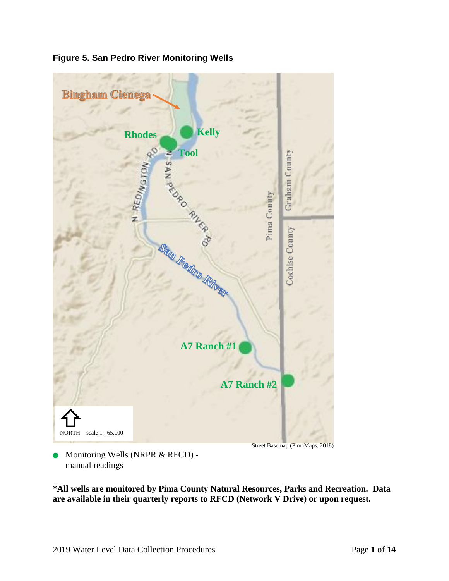

**Figure 5. San Pedro River Monitoring Wells**

Monitoring Wells (NRPR & RFCD) manual readings

**\*All wells are monitored by Pima County Natural Resources, Parks and Recreation. Data are available in their quarterly reports to RFCD (Network V Drive) or upon request.**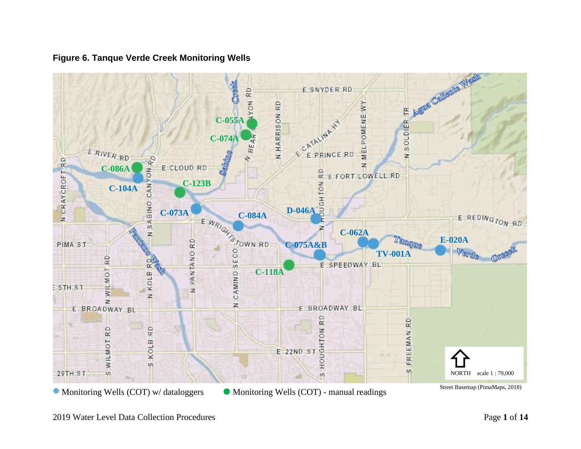

### **Figure 6. Tanque Verde Creek Monitoring Wells**

2019 Water Level Data Collection Procedures **Page 1** of 14